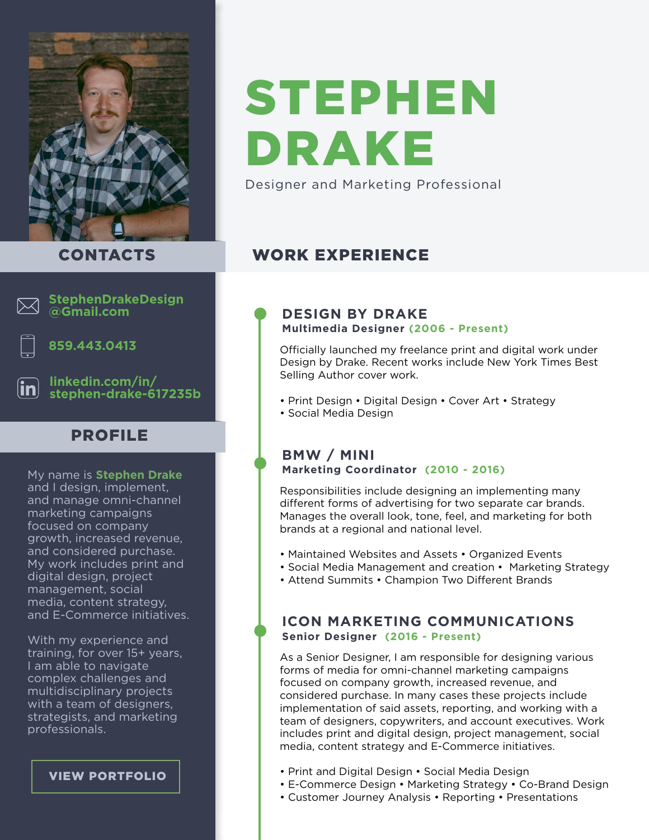

# STEPHEN DRAKE

Designer and Marketing Professional

## CONTACTS



#### **StephenDrakeDesign @Gmail.com**



#### **859.443.0413**

**linkedin.com/in/ [stephen-drake-617235b](https://www.linkedin.com/in/stephen-drake-617235b/)**

# PROFILE

My name is **Stephen Drake** and I design, implement, and manage omni-channel marketing campaigns focused on company growth, increased revenue, and considered purchase. My work includes print and digital design, project management, social media, content strategy, and E-Commerce initiatives.

With my experience and training, for over 15+ years, I am able to navigate complex challenges and multidisciplinary projects with a team of designers, strategists, and marketing professionals.

#### [VIEW PORTFOLIO](http://www.designbydrake.com)

#### **DESIGN BY DRAKE Multimedia Designer (2006 - Present)**

Officially launched my freelance print and digital work under Design by Drake. Recent works include New York Times Best Selling Author cover work.

- Print Design Digital Design Cover Art Strategy
- Social Media Design

WORK EXPERIENCE

#### **BMW / MINI Marketing Coordinator (2010 - 2016)**

Responsibilities include designing an implementing many different forms of advertising for two separate car brands. Manages the overall look, tone, feel, and marketing for both brands at a regional and national level.

- Maintained Websites and Assets Organized Events
- Social Media Management and creation Marketing Strategy
- Attend Summits Champion Two Different Brands

#### **ICON MARKETING COMMUNICATIONS Senior Designer (2016 - Present)**

As a Senior Designer, I am responsible for designing various forms of media for omni-channel marketing campaigns focused on company growth, increased revenue, and considered purchase. In many cases these projects include implementation of said assets, reporting, and working with a team of designers, copywriters, and account executives. Work includes print and digital design, project management, social media, content strategy and E-Commerce initiatives.

- Print and Digital Design Social Media Design
- E-Commerce Design Marketing Strategy Co-Brand Design
- Customer Journey Analysis Reporting Presentations